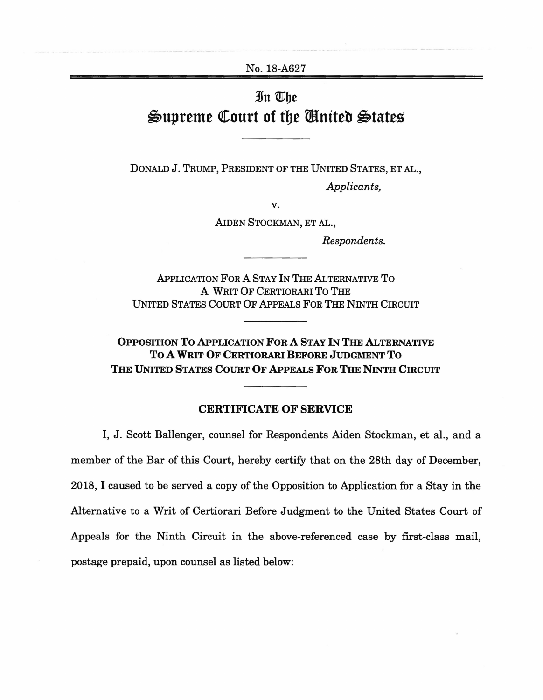No. 18-A627

## 3fn mbe Supreme Court of the Cinited States

DONALD J. TRUMP, PRESIDENT OF THE UNITED STATES, ET AL.,

*Applicants,* 

**v.** 

AIDEN STOCKMAN, ET AL.,

*Respondents.* 

APPLICATION FOR A STAY IN THE ALTERNATIVE To A WRIT OF CERTIORARI To THE UNITED STATES COURT OF APPEALS FOR THE NINTH CIRCUIT

**OPPOSITION To APPLICATION FOR A STAY** IN **THE ALTERNATIVE To A WRIT OF CERTIORARI BEFORE JUDGMENT To**  THE UNITED STATES COURT OF APPEALS FOR THE NINTH CIRCUIT

## **CERTIFICATE OF SERVICE**

I, J. Scott Ballenger, counsel for Respondents Aiden Stockman, et al., and a member of the Bar of this Court, hereby certify that on the 28th day of December, 2018, I caused to be served a copy of the Opposition to Application for a Stay in the Alternative to a Writ of Certiorari Before Judgment to the United States Court of Appeals for the Ninth Circuit in the above-referenced case by first-class mail, postage prepaid, upon counsel as listed below: